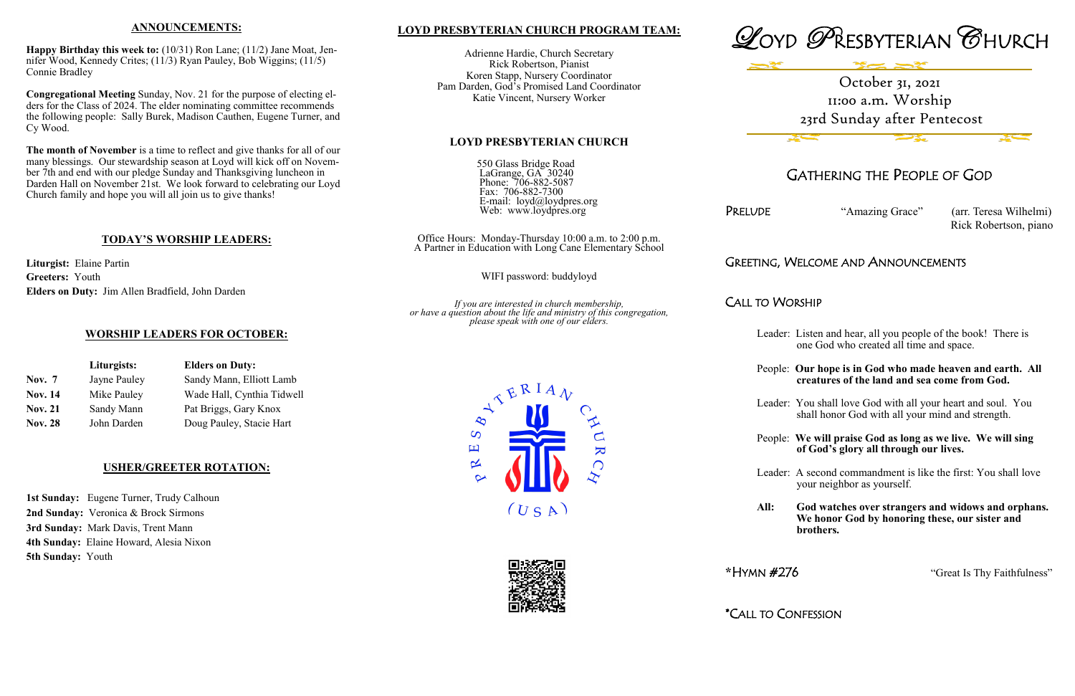## **LOYD PRESBYTERIAN CHURCH PROGRAM TEAM:**

Adrienne Hardie, Church Secretary Rick Robertson, Pianist Koren Stapp, Nursery Coordinator Pam Darden, God's Promised Land Coordinator Katie Vincent, Nursery Worker

## **LOYD PRESBYTERIAN CHURCH**

550 Glass Bridge Road LaGrange, GA 30240 Phone: 706-882-5087 Fax: 706-882-7300 E-mail: loyd@loydpres.org Web: www.loydpres.org

PRELUDE "Amazing Grace" (arr. Teresa Wilhelmi) Rick Robertson, piano

Office Hours: Monday-Thursday 10:00 a.m. to 2:00 p.m. A Partner in Education with Long Cane Elementary School

WIFI password: buddyloyd

*If you are interested in church membership, or have a question about the life and ministry of this congregation, please speak with one of our elders.*



# GATHERING THE PEOPLE OF GOD

## GREETING, WELCOME AND ANNOUNCEMENTS

CALL TO WORSHIP

- Leader: Listen and hear, all you people of the book! There is one God who created all time and space.
- People: **Our hope is in God who made heaven and earth. All creatures of the land and sea come from God.**
- Leader: You shall love God with all your heart and soul. You shall honor God with all your mind and strength.
- People: **We will praise God as long as we live. We will sing of God's glory all through our lives.**
- Leader: A second commandment is like the first: You shall love your neighbor as yourself.
- **All: God watches over strangers and widows and orphans. We honor God by honoring these, our sister and brothers.**

**\***HYMN #276 "Great Is Thy Faithfulness"

\*CALL TO CONFESSION



 $\overline{\mathbf{K}}$ 

 $\overline{S}$ 凹

 $\propto$ 

#### **ANNOUNCEMENTS:**

**Happy Birthday this week to:** (10/31) Ron Lane; (11/2) Jane Moat, Jennifer Wood, Kennedy Crites; (11/3) Ryan Pauley, Bob Wiggins; (11/5) Connie Bradley

**Congregational Meeting** Sunday, Nov. 21 for the purpose of electing elders for the Class of 2024. The elder nominating committee recommends the following people: Sally Burek, Madison Cauthen, Eugene Turner, and Cy Wood.

**The month of November** is a time to reflect and give thanks for all of our many blessings. Our stewardship season at Loyd will kick off on November 7th and end with our pledge Sunday and Thanksgiving luncheon in Darden Hall on November 21st. We look forward to celebrating our Loyd Church family and hope you will all join us to give thanks!

## **TODAY'S WORSHIP LEADERS:**

**Liturgist:** Elaine Partin **Greeters:** Youth **Elders on Duty:** Jim Allen Bradfield, John Darden

## **WORSHIP LEADERS FOR OCTOBER:**

|                | Liturgists:  | <b>Elders on Duty:</b><br>Sandy Mann, Elliott Lamb |  |  |
|----------------|--------------|----------------------------------------------------|--|--|
| <b>Nov.</b> 7  | Jayne Pauley |                                                    |  |  |
| <b>Nov. 14</b> | Mike Pauley  | Wade Hall, Cynthia Tidwell                         |  |  |
| <b>Nov. 21</b> | Sandy Mann   | Pat Briggs, Gary Knox                              |  |  |
| <b>Nov. 28</b> | John Darden  | Doug Pauley, Stacie Hart                           |  |  |

## **USHER/GREETER ROTATION:**

**1st Sunday:** Eugene Turner, Trudy Calhoun **2nd Sunday:** Veronica & Brock Sirmons **3rd Sunday:** Mark Davis, Trent Mann **4th Sunday:** Elaine Howard, Alesia Nixon **5th Sunday:** Youth

# October 31, 2021 11:00 a.m. Worship 23rd Sunday after Pentecost